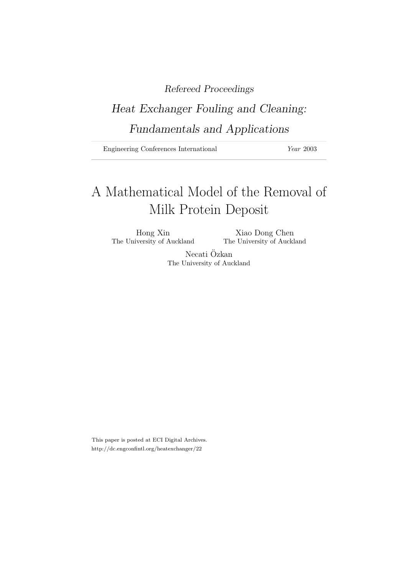# Refereed Proceedings

# Heat Exchanger Fouling and Cleaning: Fundamentals and Applications

Engineering Conferences International Year 2003

# A Mathematical Model of the Removal of Milk Protein Deposit

Hong Xin Xiao Dong Chen The University of Auckland The University of Auckland

> Necati Özkan The University of Auckland

This paper is posted at ECI Digital Archives. http://dc.engconfintl.org/heatexchanger/22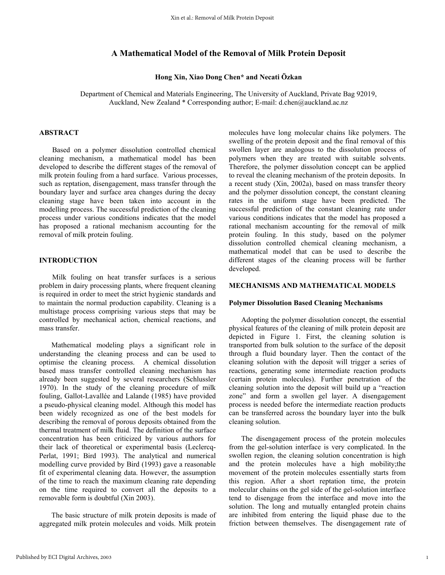# **A Mathematical Model of the Removal of Milk Protein Deposit**

## **Hong Xin, Xiao Dong Chen\* and Necati Özkan**

Department of Chemical and Materials Engineering, The University of Auckland, Private Bag 92019, Auckland, New Zealand \* Corresponding author; E-mail: d.chen@auckland.ac.nz

# **ABSTRACT**

 Based on a polymer dissolution controlled chemical cleaning mechanism, a mathematical model has been developed to describe the different stages of the removal of milk protein fouling from a hard surface. Various processes, such as reptation, disengagement, mass transfer through the boundary layer and surface area changes during the decay cleaning stage have been taken into account in the modelling process. The successful prediction of the cleaning process under various conditions indicates that the model has proposed a rational mechanism accounting for the removal of milk protein fouling.

#### **INTRODUCTION**

 Milk fouling on heat transfer surfaces is a serious problem in dairy processing plants, where frequent cleaning is required in order to meet the strict hygienic standards and to maintain the normal production capability. Cleaning is a multistage process comprising various steps that may be controlled by mechanical action, chemical reactions, and mass transfer.

Mathematical modeling plays a significant role in understanding the cleaning process and can be used to optimise the cleaning process. A chemical dissolution based mass transfer controlled cleaning mechanism has already been suggested by several researchers (Schlussler 1970). In the study of the cleaning procedure of milk fouling, Gallot-Lavallée and Lalande (1985) have provided a pseudo-physical cleaning model. Although this model has been widely recognized as one of the best models for describing the removal of porous deposits obtained from the thermal treatment of milk fluid. The definition of the surface concentration has been criticized by various authors for their lack of theoretical or experimental basis (Leclercq-Perlat, 1991; Bird 1993). The analytical and numerical modelling curve provided by Bird (1993) gave a reasonable fit of experimental cleaning data. However, the assumption of the time to reach the maximum cleaning rate depending on the time required to convert all the deposits to a removable form is doubtful (Xin 2003).

The basic structure of milk protein deposits is made of aggregated milk protein molecules and voids. Milk protein

molecules have long molecular chains like polymers. The swelling of the protein deposit and the final removal of this swollen layer are analogous to the dissolution process of polymers when they are treated with suitable solvents. Therefore, the polymer dissolution concept can be applied to reveal the cleaning mechanism of the protein deposits. In a recent study (Xin, 2002a), based on mass transfer theory and the polymer dissolution concept, the constant cleaning rates in the uniform stage have been predicted. The successful prediction of the constant cleaning rate under various conditions indicates that the model has proposed a rational mechanism accounting for the removal of milk protein fouling. In this study, based on the polymer dissolution controlled chemical cleaning mechanism, a mathematical model that can be used to describe the different stages of the cleaning process will be further developed.

#### **MECHANISMS AND MATHEMATICAL MODELS**

#### **Polymer Dissolution Based Cleaning Mechanisms**

Adopting the polymer dissolution concept, the essential physical features of the cleaning of milk protein deposit are depicted in Figure 1. First, the cleaning solution is transported from bulk solution to the surface of the deposit through a fluid boundary layer. Then the contact of the cleaning solution with the deposit will trigger a series of reactions, generating some intermediate reaction products (certain protein molecules). Further penetration of the cleaning solution into the deposit will build up a "reaction zone" and form a swollen gel layer. A disengagement process is needed before the intermediate reaction products can be transferred across the boundary layer into the bulk cleaning solution.

The disengagement process of the protein molecules from the gel-solution interface is very complicated. In the swollen region, the cleaning solution concentration is high and the protein molecules have a high mobility;the movement of the protein molecules essentially starts from this region. After a short reptation time, the protein molecular chains on the gel side of the gel-solution interface tend to disengage from the interface and move into the solution. The long and mutually entangled protein chains are inhibited from entering the liquid phase due to the friction between themselves. The disengagement rate of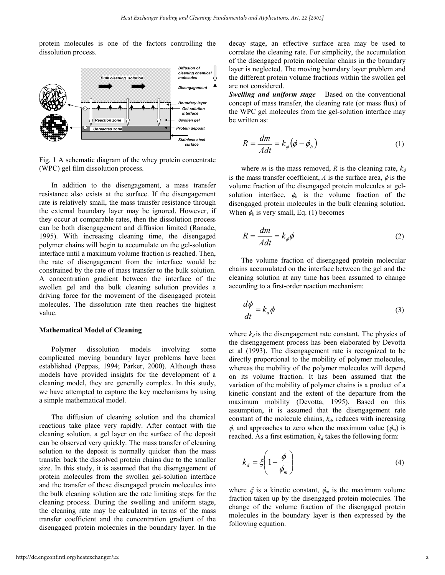protein molecules is one of the factors controlling the dissolution process.



Fig. 1 A schematic diagram of the whey protein concentrate (WPC) gel film dissolution process.

In addition to the disengagement, a mass transfer resistance also exists at the surface. If the disengagement rate is relatively small, the mass transfer resistance through the external boundary layer may be ignored. However, if they occur at comparable rates, then the dissolution process can be both disengagement and diffusion limited (Ranade, 1995). With increasing cleaning time, the disengaged polymer chains will begin to accumulate on the gel-solution interface until a maximum volume fraction is reached. Then, the rate of disengagement from the interface would be constrained by the rate of mass transfer to the bulk solution. A concentration gradient between the interface of the swollen gel and the bulk cleaning solution provides a driving force for the movement of the disengaged protein molecules. The dissolution rate then reaches the highest value.

#### **Mathematical Model of Cleaning**

Polymer dissolution models involving some complicated moving boundary layer problems have been established (Peppas, 1994; Parker, 2000). Although these models have provided insights for the development of a cleaning model, they are generally complex. In this study, we have attempted to capture the key mechanisms by using a simple mathematical model.

The diffusion of cleaning solution and the chemical reactions take place very rapidly. After contact with the cleaning solution, a gel layer on the surface of the deposit can be observed very quickly. The mass transfer of cleaning solution to the deposit is normally quicker than the mass transfer back the dissolved protein chains due to the smaller size. In this study, it is assumed that the disengagement of protein molecules from the swollen gel-solution interface and the transfer of these disengaged protein molecules into the bulk cleaning solution are the rate limiting steps for the cleaning process. During the swelling and uniform stage, the cleaning rate may be calculated in terms of the mass transfer coefficient and the concentration gradient of the disengaged protein molecules in the boundary layer. In the

decay stage, an effective surface area may be used to correlate the cleaning rate. For simplicity, the accumulation of the disengaged protein molecular chains in the boundary layer is neglected. The moving boundary layer problem and the different protein volume fractions within the swollen gel are not considered.

*Swelling and uniform stage* Based on the conventional concept of mass transfer, the cleaning rate (or mass flux) of the WPC gel molecules from the gel-solution interface may be written as:

$$
R = \frac{dm}{Adt} = k_{\phi}(\phi - \phi_b)
$$
 (1)

where *m* is the mass removed, *R* is the cleaning rate,  $k_{\phi}$ is the mass transfer coefficient,  $A$  is the surface area,  $\phi$  is the volume fraction of the disengaged protein molecules at gelsolution interface,  $\phi_b$  is the volume fraction of the disengaged protein molecules in the bulk cleaning solution. When  $\phi$  is very small, Eq. (1) becomes

$$
R = \frac{dm}{Adt} = k_{\phi}\phi
$$
 (2)

The volume fraction of disengaged protein molecular chains accumulated on the interface between the gel and the cleaning solution at any time has been assumed to change according to a first-order reaction mechanism:

$$
\frac{d\phi}{dt} = k_d \phi \tag{3}
$$

where  $k_d$  is the disengagement rate constant. The physics of the disengagement process has been elaborated by Devotta et al (1993). The disengagement rate is recognized to be directly proportional to the mobility of polymer molecules, whereas the mobility of the polymer molecules will depend on its volume fraction. It has been assumed that the variation of the mobility of polymer chains is a product of a kinetic constant and the extent of the departure from the maximum mobility (Devotta, 1995). Based on this assumption, it is assumed that the disengagement rate constant of the molecule chains,  $k_d$ , reduces with increasing  $\phi$ , and approaches to zero when the maximum value ( $\phi$ <sub>*m*</sub>) is reached. As a first estimation,  $k_d$  takes the following form:

$$
k_d = \xi \left( 1 - \frac{\phi}{\phi_m} \right) \tag{4}
$$

where  $\xi$  is a kinetic constant,  $\phi_m$  is the maximum volume fraction taken up by the disengaged protein molecules. The change of the volume fraction of the disengaged protein molecules in the boundary layer is then expressed by the following equation.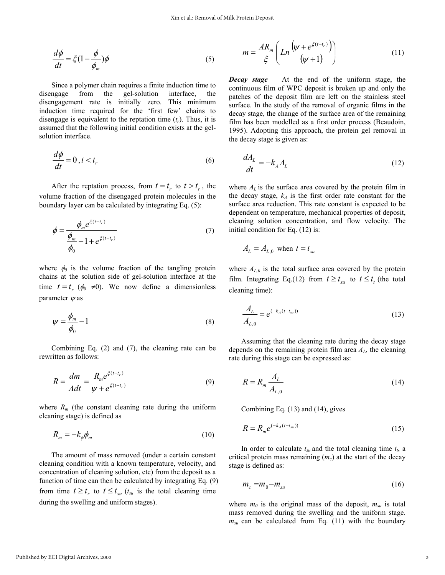$$
\frac{d\phi}{dt} = \xi \left(1 - \frac{\phi}{\phi_m}\right) \phi \tag{5}
$$

Since a polymer chain requires a finite induction time to disengage from the gel-solution interface, the disengagement rate is initially zero. This minimum induction time required for the 'first few' chains to disengage is equivalent to the reptation time  $(t_r)$ . Thus, it is assumed that the following initial condition exists at the gelsolution interface.

$$
\frac{d\phi}{dt} = 0, t < t_r \tag{6}
$$

After the reptation process, from  $t = t_r$  to  $t > t_r$ , the volume fraction of the disengaged protein molecules in the boundary layer can be calculated by integrating Eq. (5):

$$
\phi = \frac{\phi_m e^{\xi(t-t_r)}}{\frac{\phi_m}{\phi_0} - 1 + e^{\xi(t-t_r)}}
$$
(7)

where  $\phi_0$  is the volume fraction of the tangling protein chains at the solution side of gel-solution interface at the time  $t = t_r$  ( $\phi_0 \neq 0$ ). We now define a dimensionless parameter  $\psi$  as

$$
\psi = \frac{\phi_m}{\phi_0} - 1\tag{8}
$$

Combining Eq. (2) and (7), the cleaning rate can be rewritten as follows:

$$
R = \frac{dm}{Adt} = \frac{R_m e^{\xi(t - t_r)}}{\psi + e^{\xi(t - t_r)}}
$$
(9)

where  $R_m$  (the constant cleaning rate during the uniform cleaning stage) is defined as

$$
R_m = -k_{\phi} \phi_m \tag{10}
$$

The amount of mass removed (under a certain constant cleaning condition with a known temperature, velocity, and concentration of cleaning solution, etc) from the deposit as a function of time can then be calculated by integrating Eq. (9) from time  $t \geq t_r$  to  $t \leq t_{sn}$  ( $t_{su}$  is the total cleaning time during the swelling and uniform stages).

$$
m = \frac{AR_m}{\xi} \left( Ln \frac{\left(\psi + e^{\xi(t-t_r)}\right)}{\left(\psi + 1\right)} \right) \tag{11}
$$

*Decay stage* At the end of the uniform stage, the continuous film of WPC deposit is broken up and only the patches of the deposit film are left on the stainless steel surface. In the study of the removal of organic films in the decay stage, the change of the surface area of the remaining film has been modelled as a first order process (Beaudoin, 1995). Adopting this approach, the protein gel removal in the decay stage is given as:

$$
\frac{dA_L}{dt} = -k_A A_L \tag{12}
$$

where  $A_L$  is the surface area covered by the protein film in the decay stage,  $k_A$  is the first order rate constant for the surface area reduction. This rate constant is expected to be dependent on temperature, mechanical properties of deposit, cleaning solution concentration, and flow velocity. The initial condition for Eq. (12) is:

$$
A_L = A_{L,0} \text{ when } t = t_{su}
$$

where  $A_{L,0}$  is the total surface area covered by the protein film. Integrating Eq.(12) from  $t \ge t_{su}$  to  $t \le t_t$  (the total cleaning time):

$$
\frac{A_L}{A_{L,0}} = e^{(-k_A(t - t_{su}))}
$$
\n(13)

Assuming that the cleaning rate during the decay stage depends on the remaining protein film area *AL*, the cleaning rate during this stage can be expressed as:

$$
R = R_m \frac{A_L}{A_{L,0}}\tag{14}
$$

Combining Eq. (13) and (14), gives

$$
R = R_m e^{(-k_A(t - t_m))}
$$
\n(15)

In order to calculate  $t_{su}$  and the total cleaning time  $t_t$ , a critical protein mass remaining (*mc*) at the start of the decay stage is defined as:

$$
m_c = m_0 - m_{su} \tag{16}
$$

where  $m_0$  is the original mass of the deposit,  $m_{su}$  is total mass removed during the swelling and the uniform stage.  $m_{su}$  can be calculated from Eq. (11) with the boundary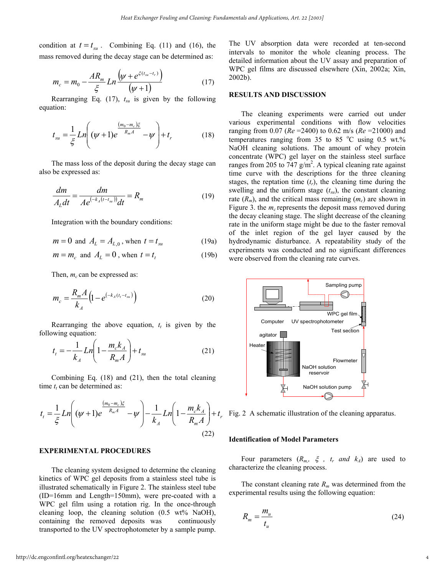condition at  $t = t_{su}$ . Combining Eq. (11) and (16), the mass removed during the decay stage can be determined as:

$$
m_c = m_0 - \frac{AR_m}{\xi} Ln \frac{(\psi + e^{\xi(t_{su} - t_r)})}{(\psi + 1)}
$$
(17)

Rearranging Eq.  $(17)$ ,  $t_{su}$  is given by the following equation:

$$
t_{su} = \frac{1}{\xi} Ln \left( (\psi + 1)e^{\frac{(m_0 - m_c)\xi}{R_m A}} - \psi \right) + t_r
$$
 (18)

The mass loss of the deposit during the decay stage can also be expressed as:

$$
\frac{dm}{A_L dt} = \frac{dm}{A e^{(-k_A(t-t_m))} dt} = R_m
$$
\n(19)

Integration with the boundary conditions:

$$
m = 0
$$
 and  $A_L = A_{L,0}$ , when  $t = t_{su}$  (19a)

$$
m = m_c \text{ and } A_L = 0 \text{, when } t = t_t \tag{19b}
$$

Then,  $m_c$  can be expressed as:

$$
m_c = \frac{R_m A}{k_A} \Big( 1 - e^{(-k_A(t_t - t_{su})}) \Big)
$$
 (20)

Rearranging the above equation,  $t_t$  is given by the following equation:

$$
t_{t} = -\frac{1}{k_{A}} Ln\left(1 - \frac{m_{c}k_{A}}{R_{m}A}\right) + t_{su}
$$
 (21)

Combining Eq. (18) and (21), then the total cleaning time  $t_t$  can be determined as:

$$
t_{t} = \frac{1}{\xi} Ln \left( (\psi + 1)e^{\frac{(m_{0} - m_{c})\xi}{R_{m}A}} - \psi \right) - \frac{1}{k_{A}} Ln \left( 1 - \frac{m_{c}k_{A}}{R_{m}A} \right) + t_{r}
$$
\n(22)

#### **EXPERIMENTAL PROCEDURES**

The cleaning system designed to determine the cleaning kinetics of WPC gel deposits from a stainless steel tube is illustrated schematically in Figure 2. The stainless steel tube (ID=16mm and Length=150mm), were pre-coated with a WPC gel film using a rotation rig. In the once-through cleaning loop, the cleaning solution  $(0.5 \text{ wt\% NaOH})$ , containing the removed deposits was continuously transported to the UV spectrophotometer by a sample pump. The UV absorption data were recorded at ten-second intervals to monitor the whole cleaning process. The detailed information about the UV assay and preparation of WPC gel films are discussed elsewhere (Xin, 2002a; Xin, 2002b).

## **RESULTS AND DISCUSSION**

The cleaning experiments were carried out under various experimental conditions with flow velocities ranging from 0.07 (*Re* =2400) to 0.62 m/s (*Re* =21000) and temperatures ranging from  $35$  to  $85$  °C using 0.5 wt.% NaOH cleaning solutions. The amount of whey protein concentrate (WPC) gel layer on the stainless steel surface ranges from 205 to 747  $g/m^2$ . A typical cleaning rate against time curve with the descriptions for the three cleaning stages, the reptation time  $(t_r)$ , the cleaning time during the swelling and the uniform stage  $(t_{su})$ , the constant cleaning rate  $(R_m)$ , and the critical mass remaining  $(m_c)$  are shown in Figure 3. the  $m_c$  represents the deposit mass removed during the decay cleaning stage. The slight decrease of the cleaning rate in the uniform stage might be due to the faster removal of the inlet region of the gel layer caused by the hydrodynamic disturbance. A repeatability study of the experiments was conducted and no significant differences were observed from the cleaning rate curves.



Fig. 2 A schematic illustration of the cleaning apparatus.

#### **Identification of Model Parameters**

Four parameters  $(R_{m_1}, \xi, t_r \text{ and } k_A)$  are used to characterize the cleaning process.

The constant cleaning rate  $R_m$  was determined from the experimental results using the following equation:

$$
R_m = \frac{m_u}{t_u} \tag{24}
$$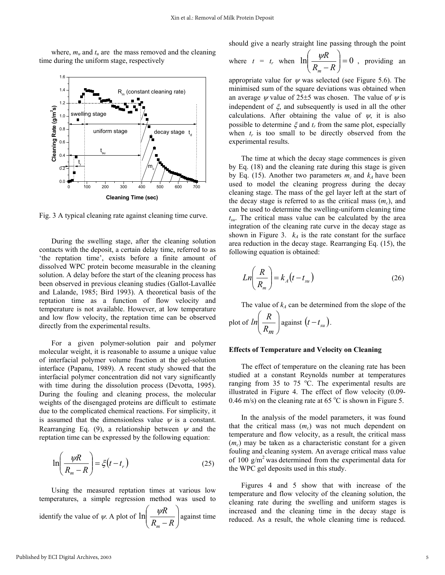where,  $m_u$  and  $t_u$  are the mass removed and the cleaning time during the uniform stage, respectively



Fig. 3 A typical cleaning rate against cleaning time curve.

During the swelling stage, after the cleaning solution contacts with the deposit, a certain delay time, referred to as 'the reptation time', exists before a finite amount of dissolved WPC protein become measurable in the cleaning solution. A delay before the start of the cleaning process has been observed in previous cleaning studies (Gallot-Lavallée and Lalande, 1985; Bird 1993). A theoretical basis of the reptation time as a function of flow velocity and temperature is not available. However, at low temperature and low flow velocity, the reptation time can be observed directly from the experimental results.

For a given polymer-solution pair and polymer molecular weight, it is reasonable to assume a unique value of interfacial polymer volume fraction at the gel-solution interface (Papanu, 1989). A recent study showed that the interfacial polymer concentration did not vary significantly with time during the dissolution process (Devotta, 1995). During the fouling and cleaning process, the molecular weights of the disengaged proteins are difficult to estimate due to the complicated chemical reactions. For simplicity, it is assumed that the dimensionless value  $\psi$  is a constant. Rearranging Eq. (9), a relationship between  $\psi$  and the reptation time can be expressed by the following equation:

$$
\ln\left(\frac{\psi R}{R_m - R}\right) = \xi \left(t - t_r\right) \tag{25}
$$

Using the measured reptation times at various low temperatures, a simple regression method was used to identify the value of  $\psi$ . A plot of  $\ln \left| \frac{\psi}{R} \right|$ J  $\backslash$  $\parallel$  $\setminus$ ſ  $R_m - R$ *R m*  $\ln \left| \frac{\psi R}{\psi} \right|$  against time should give a nearly straight line passing through the point

where 
$$
t = t_r
$$
 when  $\ln\left(\frac{\psi R}{R_m - R}\right) = 0$ , providing an

appropriate value for  $\psi$  was selected (see Figure 5.6). The minimised sum of the square deviations was obtained when an average  $\psi$  value of 25±5 was chosen. The value of  $\psi$  is independent of  $\xi$ , and subsequently is used in all the other calculations. After obtaining the value of  $\psi$ , it is also possible to determine  $\xi$  and  $t_r$  from the same plot, especially when  $t_r$  is too small to be directly observed from the experimental results.

The time at which the decay stage commences is given by Eq. (18) and the cleaning rate during this stage is given by Eq. (15). Another two parameters  $m_c$  and  $k_A$  have been used to model the cleaning progress during the decay cleaning stage. The mass of the gel layer left at the start of the decay stage is referred to as the critical mass  $(m<sub>c</sub>)$ , and can be used to determine the swelling-uniform cleaning time *tsu*. The critical mass value can be calculated by the area integration of the cleaning rate curve in the decay stage as shown in Figure 3.  $k_A$  is the rate constant for the surface area reduction in the decay stage. Rearranging Eq. (15), the following equation is obtained:

$$
Ln\left(\frac{R}{R_m}\right) = k_A(t - t_{su})
$$
\n(26)

The value of  $k_A$  can be determined from the slope of the plot of  $ln\left|\frac{R}{R}\right|$ J  $\backslash$  $\overline{\phantom{a}}$  $\setminus$ ſ *Rm*  $ln\left(\frac{R}{R}\right)$  against  $(t-t_{su})$ .

#### **Effects of Temperature and Velocity on Cleaning**

The effect of temperature on the cleaning rate has been studied at a constant Reynolds number at temperatures ranging from 35 to 75  $^{\circ}$ C. The experimental results are illustrated in Figure 4. The effect of flow velocity (0.09- 0.46 m/s) on the cleaning rate at 65 °C is shown in Figure 5.

In the analysis of the model parameters, it was found that the critical mass (*mc*) was not much dependent on temperature and flow velocity, as a result, the critical mass (*mc*) may be taken as a characteristic constant for a given fouling and cleaning system. An average critical mass value of 100  $g/m^2$  was determined from the experimental data for the WPC gel deposits used in this study.

Figures 4 and 5 show that with increase of the temperature and flow velocity of the cleaning solution, the cleaning rate during the swelling and uniform stages is increased and the cleaning time in the decay stage is reduced. As a result, the whole cleaning time is reduced.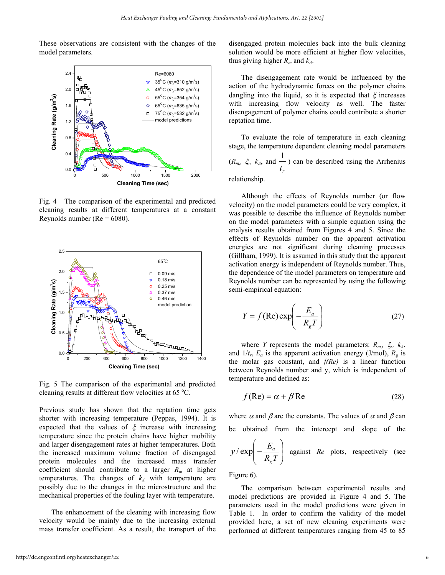These observations are consistent with the changes of the model parameters.



Fig. 4 The comparison of the experimental and predicted cleaning results at different temperatures at a constant Reynolds number ( $Re = 6080$ ).



Fig. 5 The comparison of the experimental and predicted cleaning results at different flow velocities at 65  $^{\circ}$ C.

Previous study has shown that the reptation time gets shorter with increasing temperature (Peppas, 1994). It is expected that the values of  $\xi$  increase with increasing temperature since the protein chains have higher mobility and larger disengagement rates at higher temperatures. Both the increased maximum volume fraction of disengaged protein molecules and the increased mass transfer coefficient should contribute to a larger *Rm* at higher temperatures. The changes of  $k_A$  with temperature are possibly due to the changes in the microstructure and the mechanical properties of the fouling layer with temperature.

The enhancement of the cleaning with increasing flow velocity would be mainly due to the increasing external mass transfer coefficient. As a result, the transport of the disengaged protein molecules back into the bulk cleaning solution would be more efficient at higher flow velocities, thus giving higher  $R_m$  and  $k_A$ .

The disengagement rate would be influenced by the action of the hydrodynamic forces on the polymer chains dangling into the liquid, so it is expected that  $\xi$  increases with increasing flow velocity as well. The faster disengagement of polymer chains could contribute a shorter reptation time.

To evaluate the role of temperature in each cleaning stage, the temperature dependent cleaning model parameters  $(R_{m_r}, \xi, k_A, \text{ and } \frac{1}{t_r})$  $\frac{1}{x}$ ) can be described using the Arrhenius

relationship.

Although the effects of Reynolds number (or flow velocity) on the model parameters could be very complex, it was possible to describe the influence of Reynolds number on the model parameters with a simple equation using the analysis results obtained from Figures 4 and 5. Since the effects of Reynolds number on the apparent activation energies are not significant during cleaning processes (Gillham, 1999). It is assumed in this study that the apparent activation energy is independent of Reynolds number. Thus, the dependence of the model parameters on temperature and Reynolds number can be represented by using the following semi-empirical equation:

$$
Y = f(\text{Re}) \exp\left(-\frac{E_a}{R_g T}\right) \tag{27}
$$

where *Y* represents the model parameters:  $R_{m}$ ,  $\xi$ ,  $k_A$ , and  $1/t_r$ ,  $E_a$  is the apparent activation energy (J/mol),  $R_g$  is the molar gas constant, and *f(Re)* is a linear function between Reynolds number and y, which is independent of temperature and defined as:

$$
f(\text{Re}) = \alpha + \beta \text{Re}
$$
 (28)

where  $\alpha$  and  $\beta$  are the constants. The values of  $\alpha$  and  $\beta$  can be obtained from the intercept and slope of the

$$
y/\exp\left(-\frac{E_a}{R_gT}\right)
$$
 against *Re* plots, respectively (see

Figure 6).

The comparison between experimental results and model predictions are provided in Figure 4 and 5. The parameters used in the model predictions were given in Table 1. In order to confirm the validity of the model provided here, a set of new cleaning experiments were performed at different temperatures ranging from 45 to 85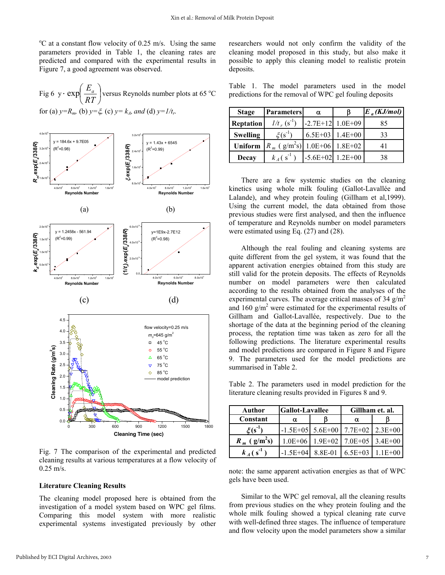<sup>o</sup>C at a constant flow velocity of 0.25 m/s. Using the same parameters provided in Table 1, the cleaning rates are predicted and compared with the experimental results in Figure 7, a good agreement was observed.

Fig 6 y · exp
$$
\left(\frac{E_a}{RT}\right)
$$
 versus Reynolds number plots at 65 °C  
for (a)  $y=R_m$  (b)  $y=\xi$ , (c)  $y=k_A$ , and (d)  $y=1/t_r$ .



Fig. 7 The comparison of the experimental and predicted cleaning results at various temperatures at a flow velocity of 0.25 m/s.

#### **Literature Cleaning Results**

The cleaning model proposed here is obtained from the investigation of a model system based on WPC gel films. Comparing this model system with more realistic experimental systems investigated previously by other researchers would not only confirm the validity of the cleaning model proposed in this study, but also make it possible to apply this cleaning model to realistic protein deposits.

Table 1. The model parameters used in the model predictions for the removal of WPC gel fouling deposits

| <b>Stage</b>     | <b>Parameters</b>                          | α                  |                   | $E_a(KJ/mol)$ |
|------------------|--------------------------------------------|--------------------|-------------------|---------------|
| <b>Reptation</b> | $1/t_r (s^{-1})$                           | $-2.7E+12$ 1.0E+09 |                   | 85            |
| <b>Swelling</b>  | $\xi(s^{-1})$                              |                    | $6.5E+03$ 1.4E+00 | 33            |
| Uniform          | $R_m$ (g/m <sup>2</sup> s) 1.0E+06 1.8E+02 |                    |                   | 41            |
| Decay            | $k_A(s^{-1})$                              | $-5.6E+02$ 1.2E+00 |                   | 38            |

There are a few systemic studies on the cleaning kinetics using whole milk fouling (Gallot-Lavallée and Lalande), and whey protein fouling (Gillham et al,1999). Using the current model, the data obtained from those previous studies were first analysed, and then the influence of temperature and Reynolds number on model parameters were estimated using Eq. (27) and (28).

Although the real fouling and cleaning systems are quite different from the gel system, it was found that the apparent activation energies obtained from this study are still valid for the protein deposits. The effects of Reynolds number on model parameters were then calculated according to the results obtained from the analyses of the experimental curves. The average critical masses of 34  $g/m<sup>2</sup>$ and 160  $g/m^2$  were estimated for the experimental results of Gillham and Gallot-Lavallée, respectively. Due to the shortage of the data at the beginning period of the cleaning process, the reptation time was taken as zero for all the following predictions. The literature experimental results and model predictions are compared in Figure 8 and Figure 9. The parameters used for the model predictions are summarised in Table 2.

Table 2. The parameters used in model prediction for the literature cleaning results provided in Figures 8 and 9.

| Author                     | <b>Gallot-Lavallee</b> | Gillham et. al.                    |             |
|----------------------------|------------------------|------------------------------------|-------------|
| Constant                   | α                      | α                                  |             |
| $\mathcal{E}(s^{-1})$      |                        | $-1.5E+05$ 5.6E+00 7.7E+02         | $2.3E + 00$ |
| $R_m$ (g/m <sup>2</sup> s) |                        | $1.0E+06$ 1.9E+02 7.0E+05 3.4E+00  |             |
| $k_A(s^{-1})$              |                        | $-1.5E+04$ 8.8E-01 6.5E+03 1.1E+00 |             |

note: the same apparent activation energies as that of WPC gels have been used.

Similar to the WPC gel removal, all the cleaning results from previous studies on the whey protein fouling and the whole milk fouling showed a typical cleaning rate curve with well-defined three stages. The influence of temperature and flow velocity upon the model parameters show a similar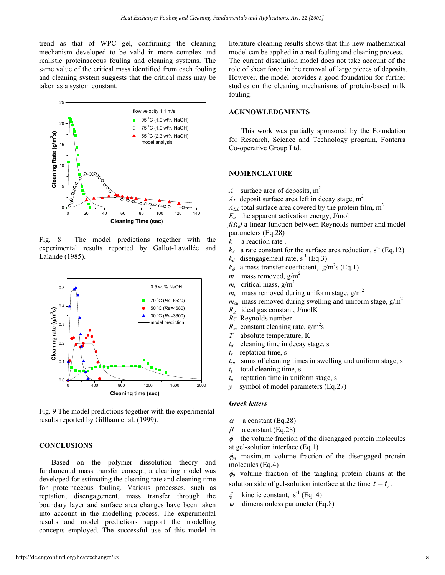trend as that of WPC gel, confirming the cleaning mechanism developed to be valid in more complex and realistic proteinaceous fouling and cleaning systems. The same value of the critical mass identified from each fouling and cleaning system suggests that the critical mass may be taken as a system constant.



Fig. 8 The model predictions together with the experimental results reported by Gallot-Lavallée and Lalande (1985).



Fig. 9 The model predictions together with the experimental results reported by Gillham et al. (1999).

#### **CONCLUSIONS**

Based on the polymer dissolution theory and fundamental mass transfer concept, a cleaning model was developed for estimating the cleaning rate and cleaning time for proteinaceous fouling. Various processes, such as reptation, disengagement, mass transfer through the boundary layer and surface area changes have been taken into account in the modelling process. The experimental results and model predictions support the modelling concepts employed. The successful use of this model in literature cleaning results shows that this new mathematical model can be applied in a real fouling and cleaning process. The current dissolution model does not take account of the role of shear force in the removal of large pieces of deposits. However, the model provides a good foundation for further studies on the cleaning mechanisms of protein-based milk fouling.

# **ACKNOWLEDGMENTS**

This work was partially sponsored by the Foundation for Research, Science and Technology program, Fonterra Co-operative Group Ltd.

#### **NOMENCLATURE**

- *A* surface area of deposits,  $m<sup>2</sup>$
- $A_L$  deposit surface area left in decay stage,  $m^2$
- $A_{L,0}$  total surface area covered by the protein film, m<sup>2</sup>
- $E_a$  the apparent activation energy, J/mol

*f(Re)* a linear function between Reynolds number and model parameters (Eq.28)

- *k* a reaction rate .
- $k_A$  a rate constant for the surface area reduction, s<sup>-1</sup> (Eq.12)
- $k_d$  disengagement rate, s<sup>-1</sup> (Eq.3)
- $k_{\phi}$  a mass transfer coefficient, g/m<sup>2</sup>s (Eq.1)
- *m* mass removed,  $g/m^2$
- $m_c$  critical mass,  $g/m^2$
- $m_u$  mass removed during uniform stage,  $g/m^2$
- $m_{su}$  mass removed during swelling and uniform stage,  $g/m^2$
- *Rg* ideal gas constant, J/molK
- *Re* Reynolds number
- $R_m$  constant cleaning rate,  $g/m^2s$
- *T* absolute temperature, K
- $t_d$  cleaning time in decay stage, s
- *tr* reptation time, s
- *tsu* sums of cleaning times in swelling and uniform stage, s
- $t_t$  total cleaning time, s
- $t<sub>u</sub>$  reptation time in uniform stage, s
- *y* symbol of model parameters (Eq.27)

# *Greek letters*

- $\alpha$  a constant (Eq.28)
- $\beta$  a constant (Eq.28)

φthe volume fraction of the disengaged protein molecules at gel-solution interface (Eq.1)

φ*m* maximum volume fraction of the disengaged protein molecules (Eq.4)

φ*0* volume fraction of the tangling protein chains at the solution side of gel-solution interface at the time  $t = t_{\text{r}}$ .

- $\xi$  kinetic constant, s<sup>-1</sup> (Eq. 4)
- dimensionless parameter  $(Eq.8)$